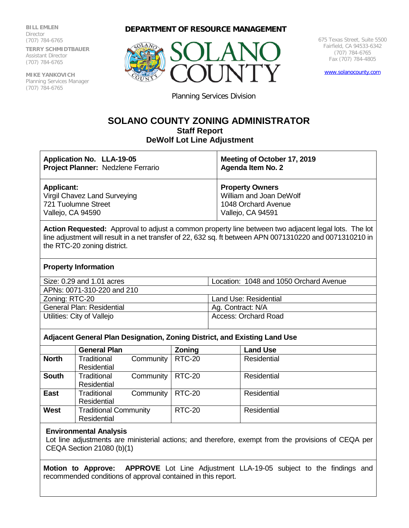**BILL EMLEN Director** (707) 784-6765 **TERRY SCHMIDTBAUER** Assistant Director (707) 784-6765

**MIKE YANKOVICH** Planning Services Manager (707) 784-6765

**DEPARTMENT OF RESOURCE MANAGEMENT**



675 Texas Street, Suite 5500 Fairfield, CA 94533-6342 (707) 784-6765 Fax (707) 784-4805

[www.solanocounty.com](http://www.solanocounty.com/)

Planning Services Division

# **SOLANO COUNTY ZONING ADMINISTRATOR Staff Report DeWolf Lot Line Adjustment**

| Application No. LLA-19-05          | Meeting of October 17, 2019 |
|------------------------------------|-----------------------------|
| Project Planner: Nedzlene Ferrario | <b>Agenda Item No. 2</b>    |
| <b>Applicant:</b>                  | <b>Property Owners</b>      |
| Virgil Chavez Land Surveying       | William and Joan DeWolf     |
| 721 Tuolumne Street                | 1048 Orchard Avenue         |
| Vallejo, CA 94590                  | Vallejo, CA 94591           |

**Action Requested:** Approval to adjust a common property line between two adjacent legal lots. The lot line adjustment will result in a net transfer of 22, 632 sq. ft between APN 0071310220 and 0071310210 in the RTC-20 zoning district.

## **Property Information**

| Size: 0.29 and 1.01 acres  | Location: 1048 and 1050 Orchard Avenue |
|----------------------------|----------------------------------------|
| APNs: 0071-310-220 and 210 |                                        |
| Zoning: RTC-20             | Land Use: Residential                  |
| General Plan: Residential  | Ag. Contract: N/A                      |
| Utilities: City of Vallejo | <b>Access: Orchard Road</b>            |
|                            |                                        |

## **Adjacent General Plan Designation, Zoning District, and Existing Land Use**

|              | <b>General Plan</b>             | <b>Zoning</b> | <b>Land Use</b> |
|--------------|---------------------------------|---------------|-----------------|
| <b>North</b> | Traditional<br>Community        | <b>RTC-20</b> | Residential     |
|              | Residential                     |               |                 |
| <b>South</b> | Traditional<br>Community        | <b>RTC-20</b> | Residential     |
|              | Residential                     |               |                 |
| <b>East</b>  | <b>Traditional</b><br>Community | <b>RTC-20</b> | Residential     |
|              | Residential                     |               |                 |
| <b>West</b>  | <b>Traditional Community</b>    | <b>RTC-20</b> | Residential     |
|              | Residential                     |               |                 |

## **Environmental Analysis**

Lot line adjustments are ministerial actions; and therefore, exempt from the provisions of CEQA per CEQA Section 21080 (b)(1)

**Motion to Approve: APPROVE** Lot Line Adjustment LLA-19-05 subject to the findings and recommended conditions of approval contained in this report.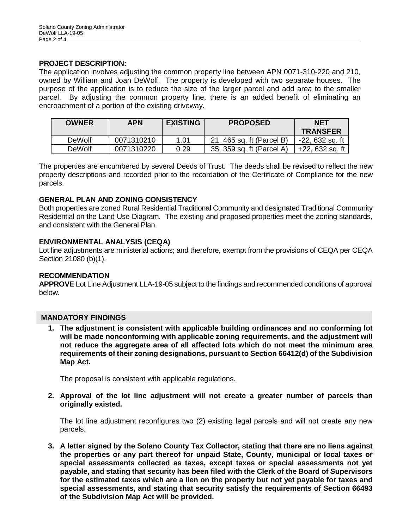# **PROJECT DESCRIPTION:**

The application involves adjusting the common property line between APN 0071-310-220 and 210, owned by William and Joan DeWolf. The property is developed with two separate houses. The purpose of the application is to reduce the size of the larger parcel and add area to the smaller parcel. By adjusting the common property line, there is an added benefit of eliminating an encroachment of a portion of the existing driveway.

| <b>OWNER</b>  | APN        | <b>EXISTING</b> | <b>PROPOSED</b>           | <b>NET</b><br><b>TRANSFER</b> |
|---------------|------------|-----------------|---------------------------|-------------------------------|
| <b>DeWolf</b> | 0071310210 | 1.01            | 21, 465 sq. ft (Parcel B) | -22, 632 sq. ft               |
| <b>DeWolf</b> | 0071310220 | 0.29            | 35, 359 sq. ft (Parcel A) | +22, 632 sq. ft               |

The properties are encumbered by several Deeds of Trust. The deeds shall be revised to reflect the new property descriptions and recorded prior to the recordation of the Certificate of Compliance for the new parcels.

# **GENERAL PLAN AND ZONING CONSISTENCY**

Both properties are zoned Rural Residential Traditional Community and designated Traditional Community Residential on the Land Use Diagram. The existing and proposed properties meet the zoning standards, and consistent with the General Plan.

# **ENVIRONMENTAL ANALYSIS (CEQA)**

Lot line adjustments are ministerial actions; and therefore, exempt from the provisions of CEQA per CEQA Section 21080 (b)(1).

## **RECOMMENDATION**

**APPROVE** Lot Line Adjustment LLA-19-05 subject to the findings and recommended conditions of approval below.

## **MANDATORY FINDINGS**

**1. The adjustment is consistent with applicable building ordinances and no conforming lot will be made nonconforming with applicable zoning requirements, and the adjustment will not reduce the aggregate area of all affected lots which do not meet the minimum area requirements of their zoning designations, pursuant to Section 66412(d) of the Subdivision Map Act.**

The proposal is consistent with applicable regulations.

**2. Approval of the lot line adjustment will not create a greater number of parcels than originally existed.**

The lot line adjustment reconfigures two (2) existing legal parcels and will not create any new parcels.

**3. A letter signed by the Solano County Tax Collector, stating that there are no liens against the properties or any part thereof for unpaid State, County, municipal or local taxes or special assessments collected as taxes, except taxes or special assessments not yet payable, and stating that security has been filed with the Clerk of the Board of Supervisors for the estimated taxes which are a lien on the property but not yet payable for taxes and special assessments, and stating that security satisfy the requirements of Section 66493 of the Subdivision Map Act will be provided.**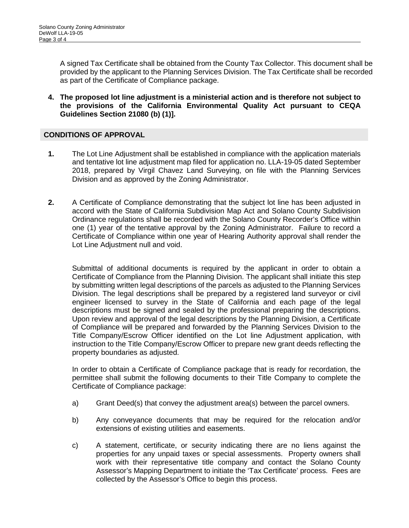A signed Tax Certificate shall be obtained from the County Tax Collector. This document shall be provided by the applicant to the Planning Services Division. The Tax Certificate shall be recorded as part of the Certificate of Compliance package.

**4. The proposed lot line adjustment is a ministerial action and is therefore not subject to the provisions of the California Environmental Quality Act pursuant to CEQA Guidelines Section 21080 (b) (1)].**

# **CONDITIONS OF APPROVAL**

- **1.** The Lot Line Adjustment shall be established in compliance with the application materials and tentative lot line adjustment map filed for application no. LLA-19-05 dated September 2018, prepared by Virgil Chavez Land Surveying, on file with the Planning Services Division and as approved by the Zoning Administrator.
- **2.** A Certificate of Compliance demonstrating that the subject lot line has been adjusted in accord with the State of California Subdivision Map Act and Solano County Subdivision Ordinance regulations shall be recorded with the Solano County Recorder's Office within one (1) year of the tentative approval by the Zoning Administrator. Failure to record a Certificate of Compliance within one year of Hearing Authority approval shall render the Lot Line Adjustment null and void.

Submittal of additional documents is required by the applicant in order to obtain a Certificate of Compliance from the Planning Division. The applicant shall initiate this step by submitting written legal descriptions of the parcels as adjusted to the Planning Services Division. The legal descriptions shall be prepared by a registered land surveyor or civil engineer licensed to survey in the State of California and each page of the legal descriptions must be signed and sealed by the professional preparing the descriptions. Upon review and approval of the legal descriptions by the Planning Division, a Certificate of Compliance will be prepared and forwarded by the Planning Services Division to the Title Company/Escrow Officer identified on the Lot line Adjustment application, with instruction to the Title Company/Escrow Officer to prepare new grant deeds reflecting the property boundaries as adjusted.

In order to obtain a Certificate of Compliance package that is ready for recordation, the permittee shall submit the following documents to their Title Company to complete the Certificate of Compliance package:

- a) Grant Deed(s) that convey the adjustment area(s) between the parcel owners.
- b) Any conveyance documents that may be required for the relocation and/or extensions of existing utilities and easements.
- c) A statement, certificate, or security indicating there are no liens against the properties for any unpaid taxes or special assessments. Property owners shall work with their representative title company and contact the Solano County Assessor's Mapping Department to initiate the 'Tax Certificate' process. Fees are collected by the Assessor's Office to begin this process.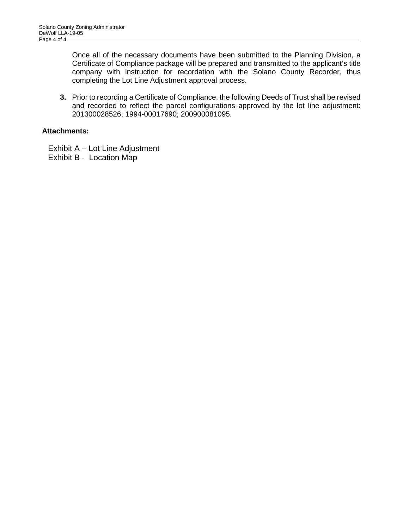Once all of the necessary documents have been submitted to the Planning Division, a Certificate of Compliance package will be prepared and transmitted to the applicant's title company with instruction for recordation with the Solano County Recorder, thus completing the Lot Line Adjustment approval process.

**3.** Prior to recording a Certificate of Compliance, the following Deeds of Trust shall be revised and recorded to reflect the parcel configurations approved by the lot line adjustment: 201300028526; 1994-00017690; 200900081095.

# **Attachments:**

Exhibit A – Lot Line Adjustment Exhibit B - Location Map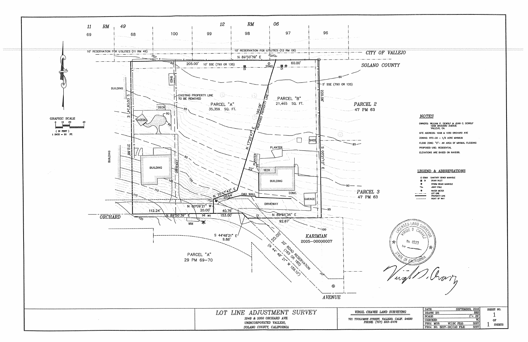

OWNERS: WILLIAM P. DEWOLF & JOAN C. DEWOLF<br>1048 ORCHARD AVENUE<br>VALLEJO, CA. SITE ADDRESS: 1048 & 1050 ORCHARD AVE ZONING: RTC-20 - 1/2 ACRE MINIMUM FLOOD ZONE: "C"- AN AREA OF MINIMAL FLOODING



|                   | DATE:                       | 2018<br><b>SEPTEMBER</b>                                                                                                                                                                                                             | SHEET NO.     |
|-------------------|-----------------------------|--------------------------------------------------------------------------------------------------------------------------------------------------------------------------------------------------------------------------------------|---------------|
| <b>SURVEYING</b>  | DRAWN BY:                   | <b>RRS</b>                                                                                                                                                                                                                           |               |
| EJO. CALIF. 94590 | <b>SCALE:</b>               | 50                                                                                                                                                                                                                                   |               |
|                   | <b>CHRCKED:</b>             | VC.                                                                                                                                                                                                                                  | ٥F            |
| l-2476            | PROJ. MGR:                  | 3207<br>VCIDC FILE:                                                                                                                                                                                                                  | <b>SHEETS</b> |
|                   | PROJ. NO. 3207-00 CAD FILE: | 3207<br>■ Announcement point of the Committee of Committee of the Committee of the Committee of the Committee of the Committee of the Committee of the Committee of the Committee of the Committee of the Committee of the Committee |               |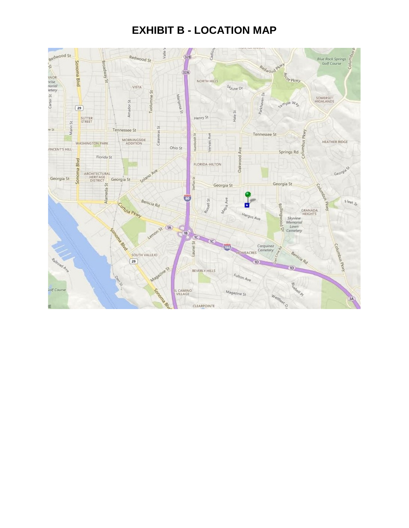# **EXHIBIT B - LOCATION MAP**

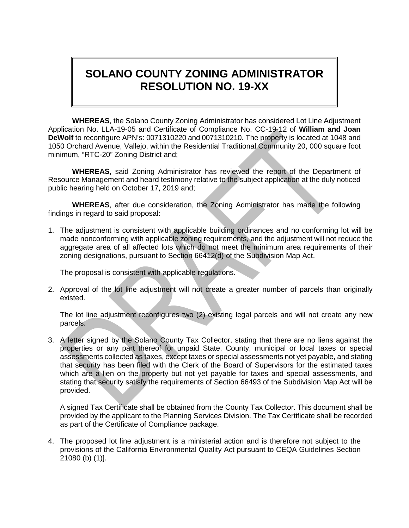# **SOLANO COUNTY ZONING ADMINISTRATOR RESOLUTION NO. 19-XX**

**WHEREAS**, the Solano County Zoning Administrator has considered Lot Line Adjustment Application No. LLA-19-05 and Certificate of Compliance No. CC-19-12 of **William and Joan DeWolf** to reconfigure APN's: 0071310220 and 0071310210. The property is located at 1048 and 1050 Orchard Avenue, Vallejo, within the Residential Traditional Community 20, 000 square foot minimum, "RTC-20" Zoning District and;

**WHEREAS**, said Zoning Administrator has reviewed the report of the Department of Resource Management and heard testimony relative to the subject application at the duly noticed public hearing held on October 17, 2019 and;

**WHEREAS**, after due consideration, the Zoning Administrator has made the following findings in regard to said proposal:

1. The adjustment is consistent with applicable building ordinances and no conforming lot will be made nonconforming with applicable zoning requirements, and the adjustment will not reduce the aggregate area of all affected lots which do not meet the minimum area requirements of their zoning designations, pursuant to Section 66412(d) of the Subdivision Map Act.

The proposal is consistent with applicable regulations.

2. Approval of the lot line adjustment will not create a greater number of parcels than originally existed.

The lot line adjustment reconfigures two (2) existing legal parcels and will not create any new parcels.

3. A letter signed by the Solano County Tax Collector, stating that there are no liens against the properties or any part thereof for unpaid State, County, municipal or local taxes or special assessments collected as taxes, except taxes or special assessments not yet payable, and stating that security has been filed with the Clerk of the Board of Supervisors for the estimated taxes which are a lien on the property but not yet payable for taxes and special assessments, and stating that security satisfy the requirements of Section 66493 of the Subdivision Map Act will be provided.

A signed Tax Certificate shall be obtained from the County Tax Collector. This document shall be provided by the applicant to the Planning Services Division. The Tax Certificate shall be recorded as part of the Certificate of Compliance package.

4. The proposed lot line adjustment is a ministerial action and is therefore not subject to the provisions of the California Environmental Quality Act pursuant to CEQA Guidelines Section 21080 (b) (1)].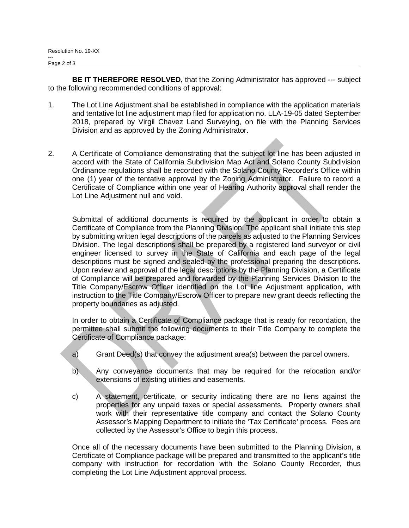**BE IT THEREFORE RESOLVED,** that the Zoning Administrator has approved --- subject to the following recommended conditions of approval:

- 1. The Lot Line Adjustment shall be established in compliance with the application materials and tentative lot line adjustment map filed for application no. LLA-19-05 dated September 2018, prepared by Virgil Chavez Land Surveying, on file with the Planning Services Division and as approved by the Zoning Administrator.
- 2. A Certificate of Compliance demonstrating that the subject lot line has been adjusted in accord with the State of California Subdivision Map Act and Solano County Subdivision Ordinance regulations shall be recorded with the Solano County Recorder's Office within one (1) year of the tentative approval by the Zoning Administrator. Failure to record a Certificate of Compliance within one year of Hearing Authority approval shall render the Lot Line Adjustment null and void.

Submittal of additional documents is required by the applicant in order to obtain a Certificate of Compliance from the Planning Division. The applicant shall initiate this step by submitting written legal descriptions of the parcels as adjusted to the Planning Services Division. The legal descriptions shall be prepared by a registered land surveyor or civil engineer licensed to survey in the State of California and each page of the legal descriptions must be signed and sealed by the professional preparing the descriptions. Upon review and approval of the legal descriptions by the Planning Division, a Certificate of Compliance will be prepared and forwarded by the Planning Services Division to the Title Company/Escrow Officer identified on the Lot line Adjustment application, with instruction to the Title Company/Escrow Officer to prepare new grant deeds reflecting the property boundaries as adjusted.

In order to obtain a Certificate of Compliance package that is ready for recordation, the permittee shall submit the following documents to their Title Company to complete the Certificate of Compliance package:

- a) Grant Deed(s) that convey the adjustment area(s) between the parcel owners.
- b) Any conveyance documents that may be required for the relocation and/or extensions of existing utilities and easements.
- c) A statement, certificate, or security indicating there are no liens against the properties for any unpaid taxes or special assessments. Property owners shall work with their representative title company and contact the Solano County Assessor's Mapping Department to initiate the 'Tax Certificate' process. Fees are collected by the Assessor's Office to begin this process.

Once all of the necessary documents have been submitted to the Planning Division, a Certificate of Compliance package will be prepared and transmitted to the applicant's title company with instruction for recordation with the Solano County Recorder, thus completing the Lot Line Adjustment approval process.